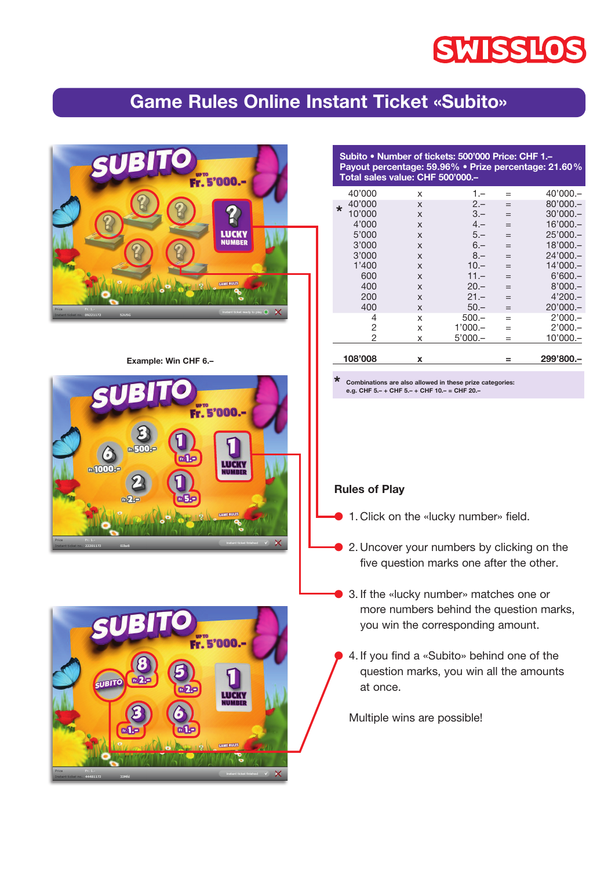# **SWISSLOS**

## **Game Rules Online Instant Ticket «Subito»**



**Example: Win CHF 6.–**





**Subito • Number of tickets: 500'000 Price: CHF 1.– Payout percentage: 59.96% • Prize percentage: 21.60% Total sales value: CHF 500'000.–**

|         | 108'008 | x |           |     | 299'800 -  |
|---------|---------|---|-----------|-----|------------|
|         |         |   |           |     |            |
|         | 2       | x | $5'000 -$ | $=$ | $10'000 -$ |
|         | 2       | x | $1'000 -$ | $=$ | $2'000 -$  |
|         | 4       | x | $500 -$   | $=$ | $2'000 -$  |
|         | 400     | X | $50 -$    | $=$ | $20'000 -$ |
|         | 200     | X | $21 -$    | $=$ | $4'200 -$  |
|         | 400     | X | $20 -$    | $=$ | $8'000 -$  |
|         | 600     | X | $11 -$    | $=$ | $6'600 -$  |
|         | 1'400   | X | $10 -$    | $=$ | 14'000.-   |
|         | 3'000   | X | $8 -$     |     | $24'000 -$ |
|         | 3'000   | X | $6 -$     | $=$ | 18'000.-   |
|         | 5'000   | X | $5 -$     | $=$ | $25'000 -$ |
|         | 4'000   | X | $4 -$     | $=$ | 16'000.-   |
|         | 10'000  | X | $3 -$     |     | $30'000 -$ |
| $\star$ | 40'000  | X | $2 -$     |     | $80'000 -$ |
|         | 40'000  | x | $1 -$     |     | $40'000 -$ |

**\* Combinations are also allowed in these prize categories: e.g. CHF 5.– + CHF 5.– + CHF 10.– = CHF 20.–**

#### **Rules of Play**

- **1.** Click on the «lucky number» field.
- **2.** Uncover your numbers by clicking on the five question marks one after the other.
- **3.** If the «lucky number» matches one or more numbers behind the question marks, you win the corresponding amount.
- 4. If you find a «Subito» behind one of the question marks, you win all the amounts at once.

 Multiple wins are possible!